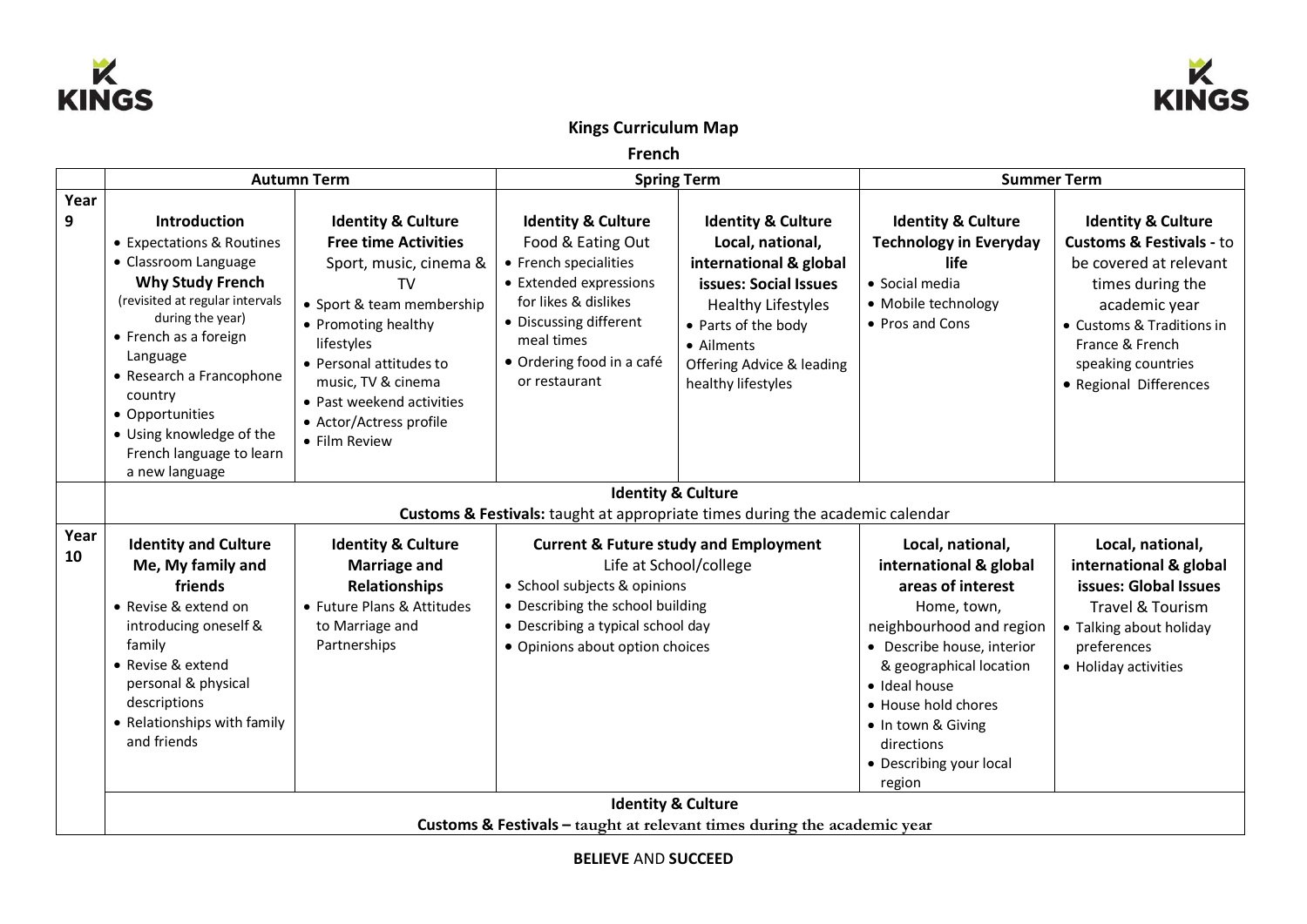



## **Kings Curriculum Map**

**French**

|            | <b>Autumn Term</b>                                                                                               |                                          | <b>Spring Term</b>                |                               | <b>Summer Term</b>                       |                                     |  |
|------------|------------------------------------------------------------------------------------------------------------------|------------------------------------------|-----------------------------------|-------------------------------|------------------------------------------|-------------------------------------|--|
| Year       |                                                                                                                  |                                          |                                   |                               |                                          |                                     |  |
| 9          | <b>Introduction</b>                                                                                              | <b>Identity &amp; Culture</b>            | <b>Identity &amp; Culture</b>     | <b>Identity &amp; Culture</b> | <b>Identity &amp; Culture</b>            | <b>Identity &amp; Culture</b>       |  |
|            | • Expectations & Routines                                                                                        | <b>Free time Activities</b>              | Food & Eating Out                 | Local, national,              | <b>Technology in Everyday</b>            | <b>Customs &amp; Festivals - to</b> |  |
|            | • Classroom Language                                                                                             | Sport, music, cinema &                   | • French specialities             | international & global        | life                                     | be covered at relevant              |  |
|            | <b>Why Study French</b>                                                                                          | <b>TV</b>                                | • Extended expressions            | issues: Social Issues         | • Social media                           | times during the                    |  |
|            | (revisited at regular intervals                                                                                  | • Sport & team membership                | for likes & dislikes              | <b>Healthy Lifestyles</b>     | • Mobile technology                      | academic year                       |  |
|            | during the year)                                                                                                 | • Promoting healthy                      | • Discussing different            | • Parts of the body           | • Pros and Cons                          | • Customs & Traditions in           |  |
|            | • French as a foreign<br>Language                                                                                | lifestyles                               | meal times                        | • Ailments                    |                                          | France & French                     |  |
|            | • Research a Francophone                                                                                         | • Personal attitudes to                  | • Ordering food in a café         | Offering Advice & leading     |                                          | speaking countries                  |  |
|            | country                                                                                                          | music, TV & cinema                       | or restaurant                     | healthy lifestyles            |                                          | • Regional Differences              |  |
|            | • Opportunities                                                                                                  | • Past weekend activities                |                                   |                               |                                          |                                     |  |
|            | • Using knowledge of the                                                                                         | • Actor/Actress profile<br>• Film Review |                                   |                               |                                          |                                     |  |
|            | French language to learn                                                                                         |                                          |                                   |                               |                                          |                                     |  |
|            | a new language                                                                                                   |                                          |                                   |                               |                                          |                                     |  |
|            | <b>Identity &amp; Culture</b>                                                                                    |                                          |                                   |                               |                                          |                                     |  |
|            | <b>Customs &amp; Festivals:</b> taught at appropriate times during the academic calendar                         |                                          |                                   |                               |                                          |                                     |  |
| Year<br>10 | <b>Identity and Culture</b><br><b>Identity &amp; Culture</b><br><b>Current &amp; Future study and Employment</b> |                                          |                                   | Local, national,              | Local, national,                         |                                     |  |
|            | Me, My family and                                                                                                | <b>Marriage and</b>                      | Life at School/college            |                               | international & global                   | international & global              |  |
|            | friends                                                                                                          | <b>Relationships</b>                     | • School subjects & opinions      |                               | areas of interest                        | issues: Global Issues               |  |
|            | • Revise & extend on                                                                                             | • Future Plans & Attitudes               | • Describing the school building  |                               | Home, town,                              | Travel & Tourism                    |  |
|            | introducing oneself &                                                                                            | to Marriage and                          | • Describing a typical school day |                               | neighbourhood and region                 | • Talking about holiday             |  |
|            | family<br>• Revise & extend                                                                                      | Partnerships                             | • Opinions about option choices   |                               | • Describe house, interior               | preferences                         |  |
|            | personal & physical                                                                                              |                                          |                                   |                               | & geographical location<br>· Ideal house | • Holiday activities                |  |
|            | descriptions                                                                                                     |                                          |                                   |                               | • House hold chores                      |                                     |  |
|            | • Relationships with family                                                                                      |                                          |                                   |                               | • In town & Giving                       |                                     |  |
|            | and friends                                                                                                      |                                          |                                   |                               | directions                               |                                     |  |
|            |                                                                                                                  |                                          |                                   |                               | • Describing your local                  |                                     |  |
|            |                                                                                                                  |                                          |                                   |                               | region                                   |                                     |  |
|            |                                                                                                                  | <b>Identity &amp; Culture</b>            |                                   |                               |                                          |                                     |  |
|            | Customs & Festivals - taught at relevant times during the academic year                                          |                                          |                                   |                               |                                          |                                     |  |

**BELIEVE** AND **SUCCEED**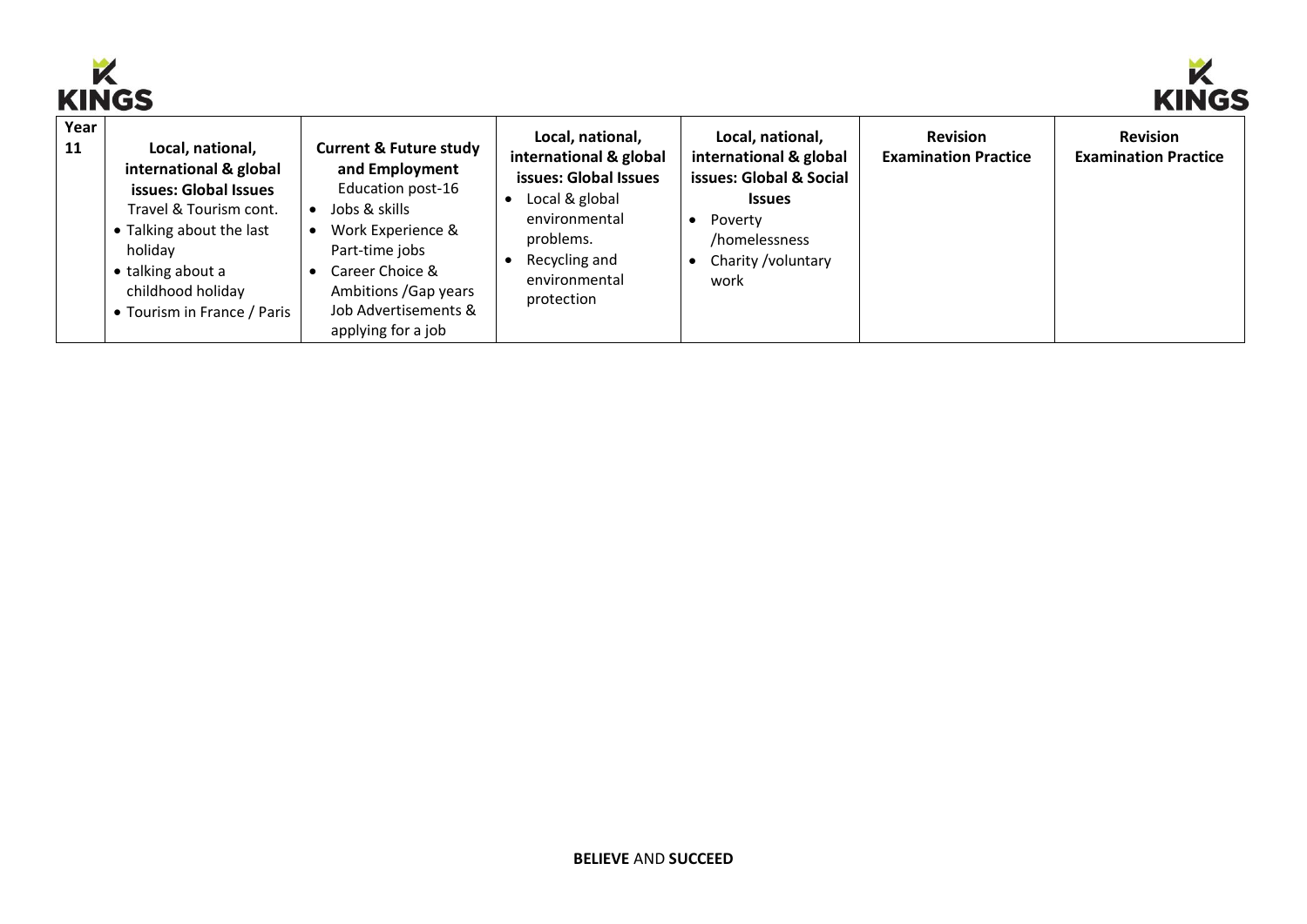



| ININW<br>. <i>.</i> |                                                                                                                                                                                                               |                                                                                                                                                                                                                            |                                                                                                                                                                     |                                                                                                                                                   |                                                |                                                |
|---------------------|---------------------------------------------------------------------------------------------------------------------------------------------------------------------------------------------------------------|----------------------------------------------------------------------------------------------------------------------------------------------------------------------------------------------------------------------------|---------------------------------------------------------------------------------------------------------------------------------------------------------------------|---------------------------------------------------------------------------------------------------------------------------------------------------|------------------------------------------------|------------------------------------------------|
| Year<br>11          | Local, national,<br>international & global<br>issues: Global Issues<br>Travel & Tourism cont.<br>• Talking about the last<br>holiday<br>• talking about a<br>childhood holiday<br>• Tourism in France / Paris | <b>Current &amp; Future study</b><br>and Employment<br>Education post-16<br>Jobs & skills<br>Work Experience &<br>Part-time jobs<br>Career Choice &<br>Ambitions / Gap years<br>Job Advertisements &<br>applying for a job | Local, national,<br>international & global<br>issues: Global Issues<br>Local & global<br>environmental<br>problems.<br>Recycling and<br>environmental<br>protection | Local, national,<br>international & global<br>issues: Global & Social<br><b>Issues</b><br>Poverty<br>/homelessness<br>Charity / voluntary<br>work | <b>Revision</b><br><b>Examination Practice</b> | <b>Revision</b><br><b>Examination Practice</b> |